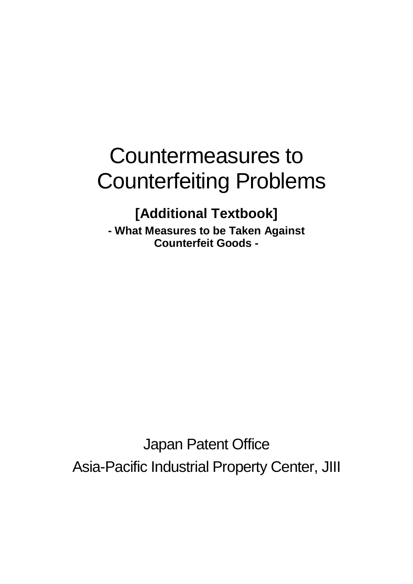# Countermeasures to Counterfeiting Problems

# **[Additional Textbook]**

**- What Measures to be Taken Against Counterfeit Goods -**

Japan Patent Office Asia-Pacific Industrial Property Center, JIII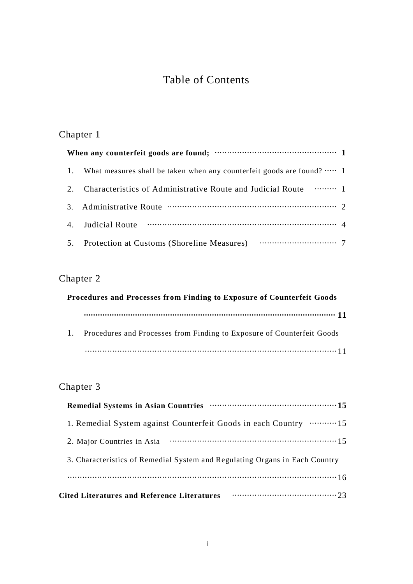# Table of Contents

# Chapter 1

| 1. | What measures shall be taken when any counterfeit goods are found? $\cdots$ 1 |  |  |  |
|----|-------------------------------------------------------------------------------|--|--|--|
| 2. | Characteristics of Administrative Route and Judicial Route  1                 |  |  |  |
| 3. |                                                                               |  |  |  |
|    |                                                                               |  |  |  |
|    |                                                                               |  |  |  |

## Chapter 2

| Procedures and Processes from Finding to Exposure of Counterfeit Goods |                                                                        |  |  |  |
|------------------------------------------------------------------------|------------------------------------------------------------------------|--|--|--|
|                                                                        |                                                                        |  |  |  |
| $\mathbf{1}$ .                                                         | Procedures and Processes from Finding to Exposure of Counterfeit Goods |  |  |  |
|                                                                        |                                                                        |  |  |  |

# Chapter 3

| Remedial Systems in Asian Countries manufactured and 15                     |
|-----------------------------------------------------------------------------|
| 1. Remedial System against Counterfeit Goods in each Country  15            |
| 2. Major Countries in Asia                                                  |
| 3. Characteristics of Remedial System and Regulating Organs in Each Country |
|                                                                             |
| <b>Cited Literatures and Reference Literatures</b>                          |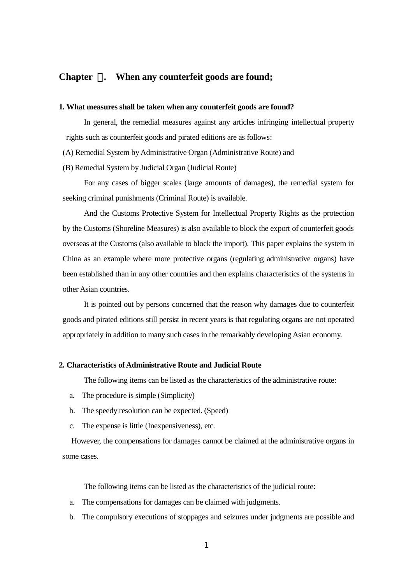#### **Chapter** 1**. When any counterfeit goods are found;**

#### **1. What measures shall be taken when any counterfeit goods are found?**

In general, the remedial measures against any articles infringing intellectual property rights such as counterfeit goods and pirated editions are as follows:

(A) Remedial System by Administrative Organ (Administrative Route) and

(B) Remedial System by Judicial Organ (Judicial Route)

For any cases of bigger scales (large amounts of damages), the remedial system for seeking criminal punishments (Criminal Route) is available.

And the Customs Protective System for Intellectual Property Rights as the protection by the Customs (Shoreline Measures) is also available to block the export of counterfeit goods overseas at the Customs (also available to block the import). This paper explains the system in China as an example where more protective organs (regulating administrative organs) have been established than in any other countries and then explains characteristics of the systems in other Asian countries.

It is pointed out by persons concerned that the reason why damages due to counterfeit goods and pirated editions still persist in recent years is that regulating organs are not operated appropriately in addition to many such cases in the remarkably developing Asian economy.

#### **2. Characteristics of Administrative Route and Judicial Route**

The following items can be listed as the characteristics of the administrative route:

- a. The procedure is simple (Simplicity)
- b. The speedy resolution can be expected. (Speed)
- c. The expense is little (Inexpensiveness), etc.

However, the compensations for damages cannot be claimed at the administrative organs in some cases.

The following items can be listed as the characteristics of the judicial route:

- a. The compensations for damages can be claimed with judgments.
- b. The compulsory executions of stoppages and seizures under judgments are possible and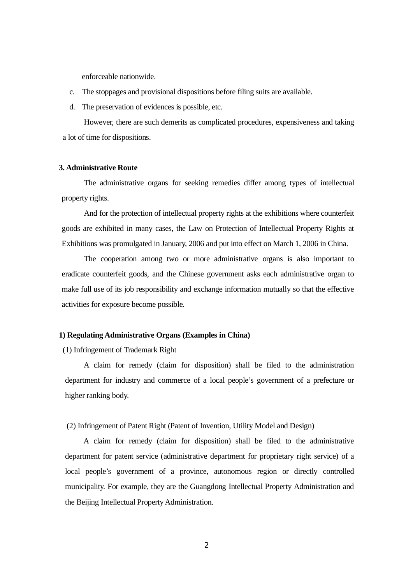enforceable nationwide.

- c. The stoppages and provisional dispositions before filing suits are available.
- d. The preservation of evidences is possible, etc.

However, there are such demerits as complicated procedures, expensiveness and taking a lot of time for dispositions.

#### **3. Administrative Route**

The administrative organs for seeking remedies differ among types of intellectual property rights.

And for the protection of intellectual property rights at the exhibitions where counterfeit goods are exhibited in many cases, the Law on Protection of Intellectual Property Rights at Exhibitions was promulgated in January, 2006 and put into effect on March 1, 2006 in China.

The cooperation among two or more administrative organs is also important to eradicate counterfeit goods, and the Chinese government asks each administrative organ to make full use of its job responsibility and exchange information mutually so that the effective activities for exposure become possible.

#### **1) Regulating Administrative Organs (Examples in China)**

(1) Infringement of Trademark Right

A claim for remedy (claim for disposition) shall be filed to the administration department for industry and commerce of a local people's government of a prefecture or higher ranking body.

(2) Infringement of Patent Right (Patent of Invention, Utility Model and Design)

A claim for remedy (claim for disposition) shall be filed to the administrative department for patent service (administrative department for proprietary right service) of a local people's government of a province, autonomous region or directly controlled municipality. For example, they are the Guangdong Intellectual Property Administration and the Beijing Intellectual Property Administration.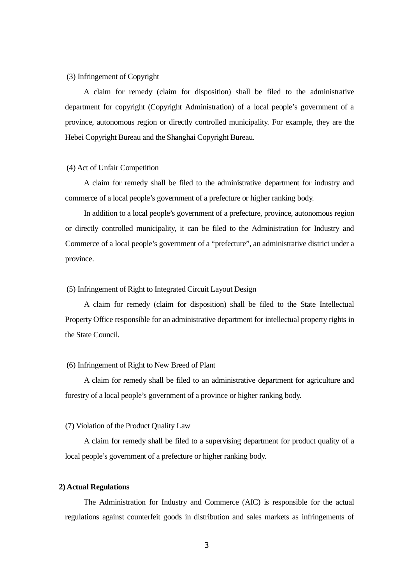#### (3) Infringement of Copyright

A claim for remedy (claim for disposition) shall be filed to the administrative department for copyright (Copyright Administration) of a local people's government of a province, autonomous region or directly controlled municipality. For example, they are the Hebei Copyright Bureau and the Shanghai Copyright Bureau.

#### (4) Act of Unfair Competition

A claim for remedy shall be filed to the administrative department for industry and commerce of a local people's government of a prefecture or higher ranking body.

In addition to a local people's government of a prefecture, province, autonomous region or directly controlled municipality, it can be filed to the Administration for Industry and Commerce of a local people's government of a "prefecture", an administrative district under a province.

#### (5) Infringement of Right to Integrated Circuit Layout Design

A claim for remedy (claim for disposition) shall be filed to the State Intellectual Property Office responsible for an administrative department for intellectual property rights in the State Council.

#### (6) Infringement of Right to New Breed of Plant

A claim for remedy shall be filed to an administrative department for agriculture and forestry of a local people's government of a province or higher ranking body.

#### (7) Violation of the Product Quality Law

A claim for remedy shall be filed to a supervising department for product quality of a local people's government of a prefecture or higher ranking body.

#### **2) Actual Regulations**

The Administration for Industry and Commerce (AIC) is responsible for the actual regulations against counterfeit goods in distribution and sales markets as infringements of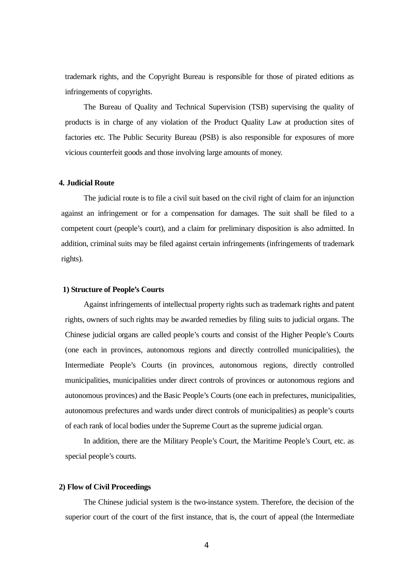trademark rights, and the Copyright Bureau is responsible for those of pirated editions as infringements of copyrights.

The Bureau of Quality and Technical Supervision (TSB) supervising the quality of products is in charge of any violation of the Product Quality Law at production sites of factories etc. The Public Security Bureau (PSB) is also responsible for exposures of more vicious counterfeit goods and those involving large amounts of money.

#### **4. Judicial Route**

The judicial route is to file a civil suit based on the civil right of claim for an injunction against an infringement or for a compensation for damages. The suit shall be filed to a competent court (people's court), and a claim for preliminary disposition is also admitted. In addition, criminal suits may be filed against certain infringements (infringements of trademark rights).

#### **1) Structure of People's Courts**

Against infringements of intellectual property rights such as trademark rights and patent rights, owners of such rights may be awarded remedies by filing suits to judicial organs. The Chinese judicial organs are called people's courts and consist of the Higher People's Courts (one each in provinces, autonomous regions and directly controlled municipalities), the Intermediate People's Courts (in provinces, autonomous regions, directly controlled municipalities, municipalities under direct controls of provinces or autonomous regions and autonomous provinces) and the Basic People's Courts (one each in prefectures, municipalities, autonomous prefectures and wards under direct controls of municipalities) as people's courts of each rank of local bodies under the Supreme Court as the supreme judicial organ.

In addition, there are the Military People's Court, the Maritime People's Court, etc. as special people's courts.

#### **2) Flow of Civil Proceedings**

The Chinese judicial system is the two-instance system. Therefore, the decision of the superior court of the court of the first instance, that is, the court of appeal (the Intermediate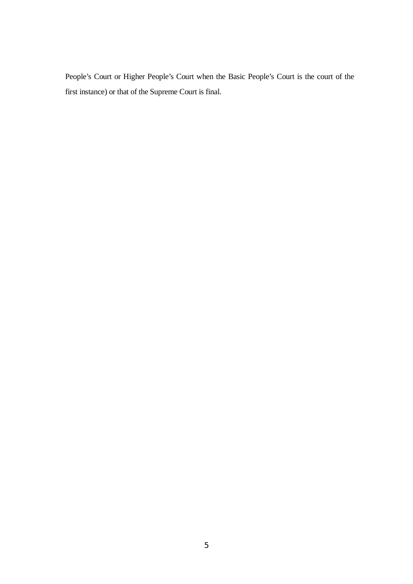People's Court or Higher People's Court when the Basic People's Court is the court of the first instance) or that of the Supreme Court is final.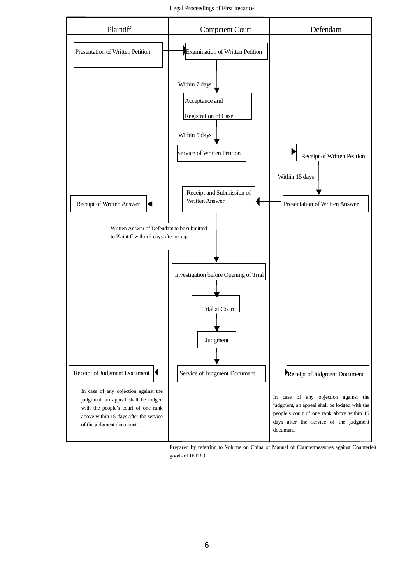Legal Proceedings of First Instance



Prepared by referring to Volume on China of Manual of Countermeasures against Counterfeit goods of JETRO.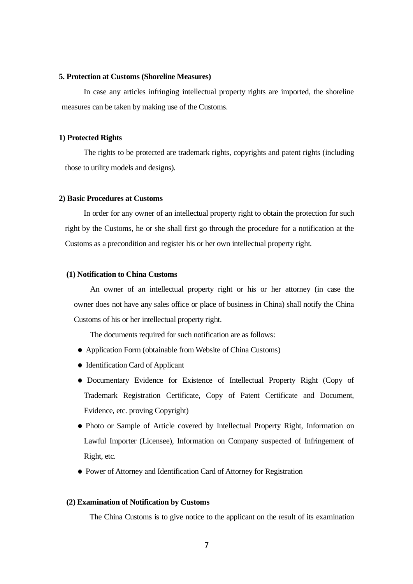#### **5. Protection at Customs (Shoreline Measures)**

In case any articles infringing intellectual property rights are imported, the shoreline measures can be taken by making use of the Customs.

#### **1) Protected Rights**

The rights to be protected are trademark rights, copyrights and patent rights (including those to utility models and designs).

#### **2) Basic Procedures at Customs**

In order for any owner of an intellectual property right to obtain the protection for such right by the Customs, he or she shall first go through the procedure for a notification at the Customs as a precondition and register his or her own intellectual property right.

#### **(1) Notification to China Customs**

An owner of an intellectual property right or his or her attorney (in case the owner does not have any sales office or place of business in China) shall notify the China Customs of his or her intellectual property right.

The documents required for such notification are as follows:

- Application Form (obtainable from Website of China Customs)
- Identification Card of Applicant
- Documentary Evidence for Existence of Intellectual Property Right (Copy of Trademark Registration Certificate, Copy of Patent Certificate and Document, Evidence, etc. proving Copyright)
- Photo or Sample of Article covered by Intellectual Property Right, Information on Lawful Importer (Licensee), Information on Company suspected of Infringement of Right, etc.
- Power of Attorney and Identification Card of Attorney for Registration

#### **(2) Examination of Notification by Customs**

The China Customs is to give notice to the applicant on the result of its examination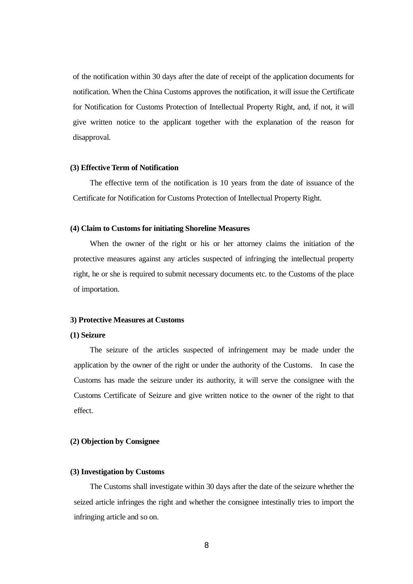of the notification within 30 days after the date of receipt of the application documents for notification. When the China Customs approves the notification, it will issue the Certificate for Notification for Customs Protection of Intellectual Property Right, and, if not, it will give written notice to the applicant together with the explanation of the reason for disapproval.

#### **(3) Effective Term of Notification**

The effective term of the notification is 10 years from the date of issuance of the Certificate for Notification for Customs Protection of Intellectual Property Right.

#### **(4) Claim to Customs for initiating Shoreline Measures**

When the owner of the right or his or her attorney claims the initiation of the protective measures against any articles suspected of infringing the intellectual property right, he or she is required to submit necessary documents etc. to the Customs of the place of importation.

#### **3) Protective Measures at Customs**

#### **(1) Seizure**

The seizure of the articles suspected of infringement may be made under the application by the owner of the right or under the authority of the Customs. In case the Customs has made the seizure under its authority, it will serve the consignee with the Customs Certificate of Seizure and give written notice to the owner of the right to that effect.

#### **(2) Objection by Consignee**

#### **(3) Investigation by Customs**

The Customs shall investigate within 30 days after the date of the seizure whether the seized article infringes the right and whether the consignee intestinally tries to import the infringing article and so on.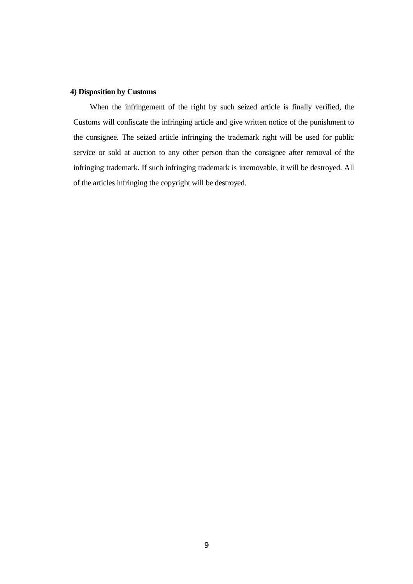#### **4) Disposition by Customs**

When the infringement of the right by such seized article is finally verified, the Customs will confiscate the infringing article and give written notice of the punishment to the consignee. The seized article infringing the trademark right will be used for public service or sold at auction to any other person than the consignee after removal of the infringing trademark. If such infringing trademark is irremovable, it will be destroyed. All of the articles infringing the copyright will be destroyed.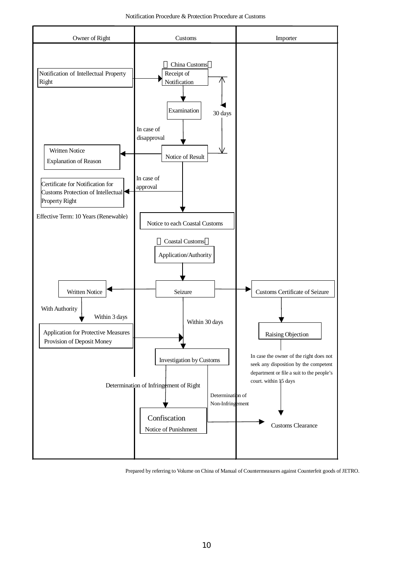Notification Procedure & Protection Procedure at Customs



Prepared by referring to Volume on China of Manual of Countermeasures against Counterfeit goods of JETRO.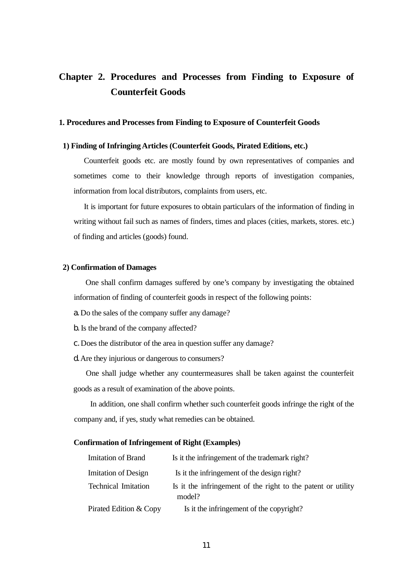### **Chapter 2. Procedures and Processes from Finding to Exposure of Counterfeit Goods**

#### **1. Procedures and Processes from Finding to Exposure of Counterfeit Goods**

#### **1) Finding of Infringing Articles (Counterfeit Goods, Pirated Editions, etc.)**

Counterfeit goods etc. are mostly found by own representatives of companies and sometimes come to their knowledge through reports of investigation companies, information from local distributors, complaints from users, etc.

It is important for future exposures to obtain particulars of the information of finding in writing without fail such as names of finders, times and places (cities, markets, stores. etc.) of finding and articles (goods) found.

#### **2) Confirmation of Damages**

One shall confirm damages suffered by one's company by investigating the obtained information of finding of counterfeit goods in respect of the following points:

a. Do the sales of the company suffer any damage?

b. Is the brand of the company affected?

c. Does the distributor of the area in question suffer any damage?

d. Are they injurious or dangerous to consumers?

One shall judge whether any countermeasures shall be taken against the counterfeit goods as a result of examination of the above points.

In addition, one shall confirm whether such counterfeit goods infringe the right of the company and, if yes, study what remedies can be obtained.

#### **Confirmation of Infringement of Right (Examples)**

| Imitation of Brand         | Is it the infringement of the trademark right?                         |
|----------------------------|------------------------------------------------------------------------|
| <b>Imitation of Design</b> | Is it the infringement of the design right?                            |
| <b>Technical Imitation</b> | Is it the infringement of the right to the patent or utility<br>model? |
| Pirated Edition & Copy     | Is it the infringement of the copyright?                               |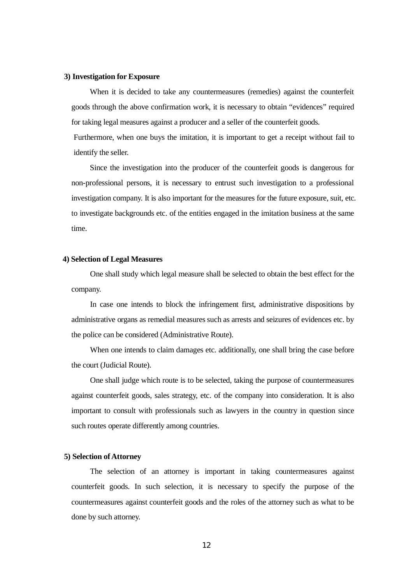#### **3) Investigation for Exposure**

When it is decided to take any countermeasures (remedies) against the counterfeit goods through the above confirmation work, it is necessary to obtain "evidences" required for taking legal measures against a producer and a seller of the counterfeit goods.

Furthermore, when one buys the imitation, it is important to get a receipt without fail to identify the seller.

Since the investigation into the producer of the counterfeit goods is dangerous for non-professional persons, it is necessary to entrust such investigation to a professional investigation company. It is also important for the measures for the future exposure, suit, etc. to investigate backgrounds etc. of the entities engaged in the imitation business at the same time.

#### **4) Selection of Legal Measures**

One shall study which legal measure shall be selected to obtain the best effect for the company.

In case one intends to block the infringement first, administrative dispositions by administrative organs as remedial measures such as arrests and seizures of evidences etc. by the police can be considered (Administrative Route).

When one intends to claim damages etc. additionally, one shall bring the case before the court (Judicial Route).

One shall judge which route is to be selected, taking the purpose of countermeasures against counterfeit goods, sales strategy, etc. of the company into consideration. It is also important to consult with professionals such as lawyers in the country in question since such routes operate differently among countries.

#### **5) Selection of Attorney**

The selection of an attorney is important in taking countermeasures against counterfeit goods. In such selection, it is necessary to specify the purpose of the countermeasures against counterfeit goods and the roles of the attorney such as what to be done by such attorney.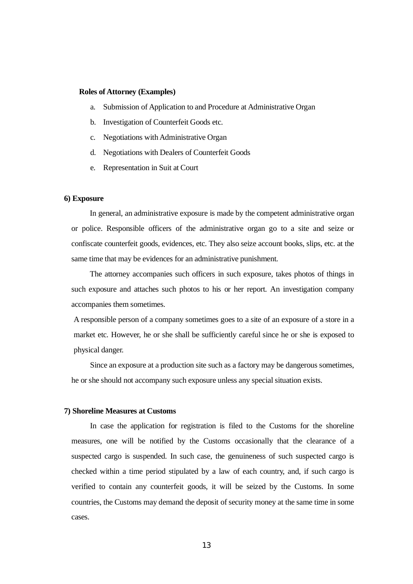#### **Roles of Attorney (Examples)**

- a. Submission of Application to and Procedure at Administrative Organ
- b. Investigation of Counterfeit Goods etc.
- c. Negotiations with Administrative Organ
- d. Negotiations with Dealers of Counterfeit Goods
- e. Representation in Suit at Court

#### **6) Exposure**

In general, an administrative exposure is made by the competent administrative organ or police. Responsible officers of the administrative organ go to a site and seize or confiscate counterfeit goods, evidences, etc. They also seize account books, slips, etc. at the same time that may be evidences for an administrative punishment.

The attorney accompanies such officers in such exposure, takes photos of things in such exposure and attaches such photos to his or her report. An investigation company accompanies them sometimes.

A responsible person of a company sometimes goes to a site of an exposure of a store in a market etc. However, he or she shall be sufficiently careful since he or she is exposed to physical danger.

Since an exposure at a production site such as a factory may be dangerous sometimes, he or she should not accompany such exposure unless any special situation exists.

#### **7) Shoreline Measures at Customs**

In case the application for registration is filed to the Customs for the shoreline measures, one will be notified by the Customs occasionally that the clearance of a suspected cargo is suspended. In such case, the genuineness of such suspected cargo is checked within a time period stipulated by a law of each country, and, if such cargo is verified to contain any counterfeit goods, it will be seized by the Customs. In some countries, the Customs may demand the deposit of security money at the same time in some cases.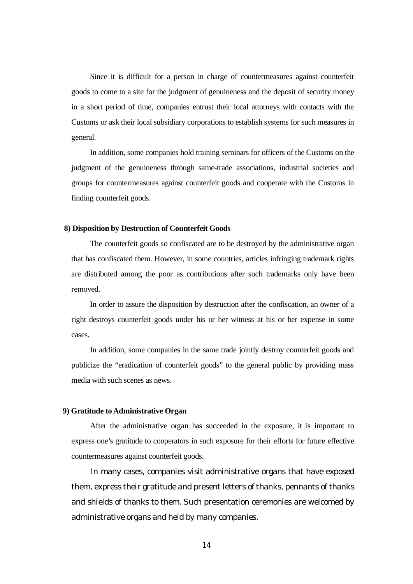Since it is difficult for a person in charge of countermeasures against counterfeit goods to come to a site for the judgment of genuineness and the deposit of security money in a short period of time, companies entrust their local attorneys with contacts with the Customs or ask their local subsidiary corporations to establish systems for such measures in general.

In addition, some companies hold training seminars for officers of the Customs on the judgment of the genuineness through same-trade associations, industrial societies and groups for countermeasures against counterfeit goods and cooperate with the Customs in finding counterfeit goods.

#### **8) Disposition by Destruction of Counterfeit Goods**

The counterfeit goods so confiscated are to be destroyed by the administrative organ that has confiscated them. However, in some countries, articles infringing trademark rights are distributed among the poor as contributions after such trademarks only have been removed.

In order to assure the disposition by destruction after the confiscation, an owner of a right destroys counterfeit goods under his or her witness at his or her expense in some cases.

In addition, some companies in the same trade jointly destroy counterfeit goods and publicize the "eradication of counterfeit goods" to the general public by providing mass media with such scenes as news.

#### **9) Gratitude to Administrative Organ**

After the administrative organ has succeeded in the exposure, it is important to express one's gratitude to cooperators in such exposure for their efforts for future effective countermeasures against counterfeit goods.

In many cases, companies visit administrative organs that have exposed them, express their gratitude and present letters of thanks, pennants of thanks and shields of thanks to them. Such presentation ceremonies are welcomed by administrative organs and held by many companies.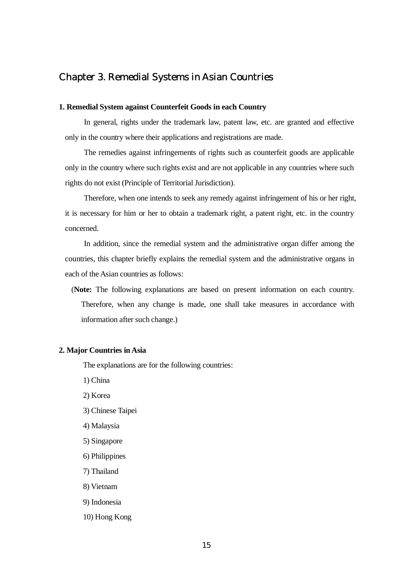### Chapter 3. Remedial Systems in Asian Countries

#### **1. Remedial System against Counterfeit Goods in each Country**

In general, rights under the trademark law, patent law, etc. are granted and effective only in the country where their applications and registrations are made.

The remedies against infringements of rights such as counterfeit goods are applicable only in the country where such rights exist and are not applicable in any countries where such rights do not exist (Principle of Territorial Jurisdiction).

Therefore, when one intends to seek any remedy against infringement of his or her right, it is necessary for him or her to obtain a trademark right, a patent right, etc. in the country concerned.

In addition, since the remedial system and the administrative organ differ among the countries, this chapter briefly explains the remedial system and the administrative organs in each of the Asian countries as follows:

(**Note:** The following explanations are based on present information on each country. Therefore, when any change is made, one shall take measures in accordance with information after such change.)

#### **2. Major Countries in Asia**

The explanations are for the following countries:

1) China

- 2) Korea
- 3) Chinese Taipei
- 4) Malaysia
- 5) Singapore
- 6) Philippines
- 7) Thailand
- 8) Vietnam
- 9) Indonesia
- 10) Hong Kong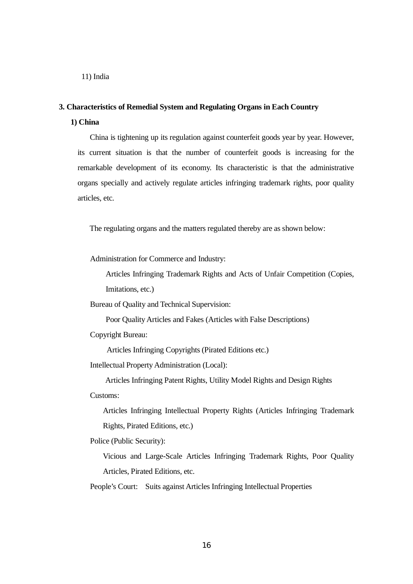11) India

#### **3. Characteristics of Remedial System and Regulating Organs in Each Country**

#### **1) China**

China is tightening up its regulation against counterfeit goods year by year. However, its current situation is that the number of counterfeit goods is increasing for the remarkable development of its economy. Its characteristic is that the administrative organs specially and actively regulate articles infringing trademark rights, poor quality articles, etc.

The regulating organs and the matters regulated thereby are as shown below:

Administration for Commerce and Industry:

Articles Infringing Trademark Rights and Acts of Unfair Competition (Copies, Imitations, etc.)

Bureau of Quality and Technical Supervision:

Poor Quality Articles and Fakes (Articles with False Descriptions)

Copyright Bureau:

Articles Infringing Copyrights (Pirated Editions etc.)

Intellectual Property Administration (Local):

Articles Infringing Patent Rights, Utility Model Rights and Design Rights Customs:

Articles Infringing Intellectual Property Rights (Articles Infringing Trademark Rights, Pirated Editions, etc.)

Police (Public Security):

Vicious and Large-Scale Articles Infringing Trademark Rights, Poor Quality Articles, Pirated Editions, etc.

People's Court: Suits against Articles Infringing Intellectual Properties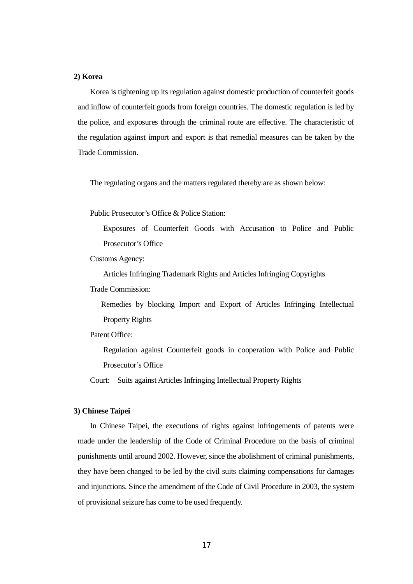#### **2) Korea**

Korea is tightening up its regulation against domestic production of counterfeit goods and inflow of counterfeit goods from foreign countries. The domestic regulation is led by the police, and exposures through the criminal route are effective. The characteristic of the regulation against import and export is that remedial measures can be taken by the Trade Commission.

The regulating organs and the matters regulated thereby are as shown below:

Public Prosecutor's Office & Police Station:

Exposures of Counterfeit Goods with Accusation to Police and Public Prosecutor's Office

Customs Agency:

Articles Infringing Trademark Rights and Articles Infringing Copyrights

Trade Commission:

Remedies by blocking Import and Export of Articles Infringing Intellectual Property Rights

Patent Office:

Regulation against Counterfeit goods in cooperation with Police and Public Prosecutor's Office

Court: Suits against Articles Infringing Intellectual Property Rights

#### **3) Chinese Taipei**

In Chinese Taipei, the executions of rights against infringements of patents were made under the leadership of the Code of Criminal Procedure on the basis of criminal punishments until around 2002. However, since the abolishment of criminal punishments, they have been changed to be led by the civil suits claiming compensations for damages and injunctions. Since the amendment of the Code of Civil Procedure in 2003, the system of provisional seizure has come to be used frequently.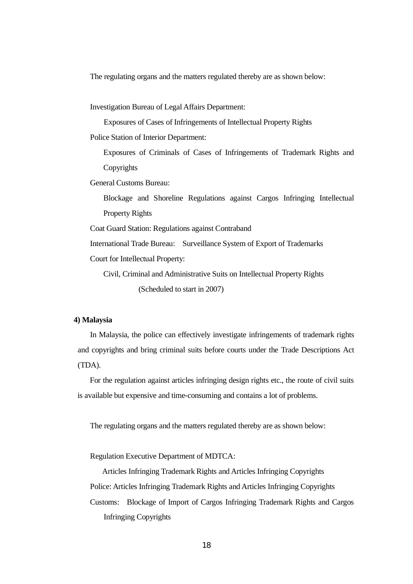The regulating organs and the matters regulated thereby are as shown below:

Investigation Bureau of Legal Affairs Department:

Exposures of Cases of Infringements of Intellectual Property Rights

Police Station of Interior Department:

Exposures of Criminals of Cases of Infringements of Trademark Rights and Copyrights

General Customs Bureau:

Blockage and Shoreline Regulations against Cargos Infringing Intellectual Property Rights

Coat Guard Station: Regulations against Contraband

International Trade Bureau: Surveillance System of Export of Trademarks

Court for Intellectual Property:

Civil, Criminal and Administrative Suits on Intellectual Property Rights (Scheduled to start in 2007)

#### **4) Malaysia**

In Malaysia, the police can effectively investigate infringements of trademark rights and copyrights and bring criminal suits before courts under the Trade Descriptions Act (TDA).

For the regulation against articles infringing design rights etc., the route of civil suits is available but expensive and time-consuming and contains a lot of problems.

The regulating organs and the matters regulated thereby are as shown below:

Regulation Executive Department of MDTCA:

Articles Infringing Trademark Rights and Articles Infringing Copyrights Police: Articles Infringing Trademark Rights and Articles Infringing Copyrights Customs: Blockage of Import of Cargos Infringing Trademark Rights and Cargos Infringing Copyrights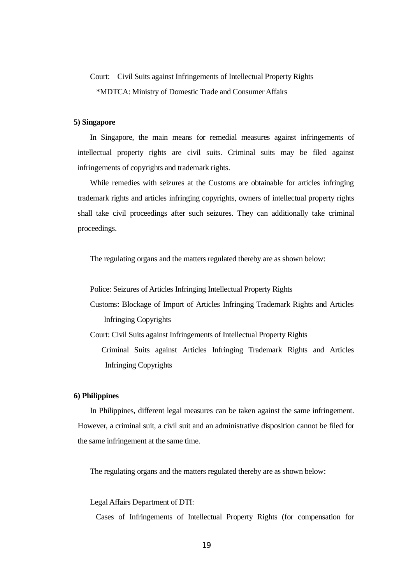### Court: Civil Suits against Infringements of Intellectual Property Rights \*MDTCA: Ministry of Domestic Trade and Consumer Affairs

#### **5) Singapore**

In Singapore, the main means for remedial measures against infringements of intellectual property rights are civil suits. Criminal suits may be filed against infringements of copyrights and trademark rights.

While remedies with seizures at the Customs are obtainable for articles infringing trademark rights and articles infringing copyrights, owners of intellectual property rights shall take civil proceedings after such seizures. They can additionally take criminal proceedings.

The regulating organs and the matters regulated thereby are as shown below:

Police: Seizures of Articles Infringing Intellectual Property Rights

Customs: Blockage of Import of Articles Infringing Trademark Rights and Articles Infringing Copyrights

Court: Civil Suits against Infringements of Intellectual Property Rights Criminal Suits against Articles Infringing Trademark Rights and Articles Infringing Copyrights

#### **6) Philippines**

In Philippines, different legal measures can be taken against the same infringement. However, a criminal suit, a civil suit and an administrative disposition cannot be filed for the same infringement at the same time.

The regulating organs and the matters regulated thereby are as shown below:

Legal Affairs Department of DTI:

Cases of Infringements of Intellectual Property Rights (for compensation for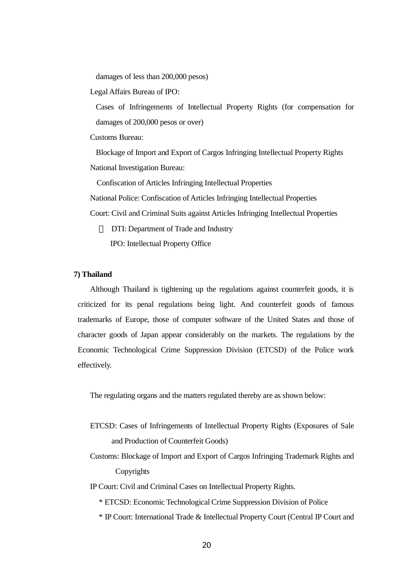damages of less than 200,000 pesos)

Legal Affairs Bureau of IPO:

Cases of Infringements of Intellectual Property Rights (for compensation for damages of 200,000 pesos or over)

Customs Bureau:

Blockage of Import and Export of Cargos Infringing Intellectual Property Rights National Investigation Bureau:

Confiscation of Articles Infringing Intellectual Properties

National Police: Confiscation of Articles Infringing Intellectual Properties

Court: Civil and Criminal Suits against Articles Infringing Intellectual Properties

DTI: Department of Trade and Industry

IPO: Intellectual Property Office

#### **7) Thailand**

Although Thailand is tightening up the regulations against counterfeit goods, it is criticized for its penal regulations being light. And counterfeit goods of famous trademarks of Europe, those of computer software of the United States and those of character goods of Japan appear considerably on the markets. The regulations by the Economic Technological Crime Suppression Division (ETCSD) of the Police work effectively.

The regulating organs and the matters regulated thereby are as shown below:

- ETCSD: Cases of Infringements of Intellectual Property Rights (Exposures of Sale and Production of Counterfeit Goods)
- Customs: Blockage of Import and Export of Cargos Infringing Trademark Rights and Copyrights

IP Court: Civil and Criminal Cases on Intellectual Property Rights.

\* ETCSD: Economic Technological Crime Suppression Division of Police

\* IP Court: International Trade & Intellectual Property Court (Central IP Court and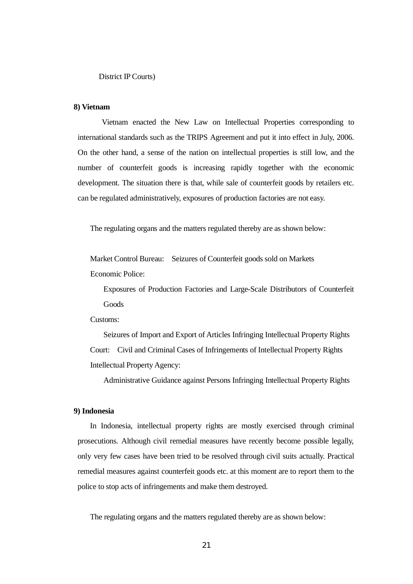#### **8) Vietnam**

 Vietnam enacted the New Law on Intellectual Properties corresponding to international standards such as the TRIPS Agreement and put it into effect in July, 2006. On the other hand, a sense of the nation on intellectual properties is still low, and the number of counterfeit goods is increasing rapidly together with the economic development. The situation there is that, while sale of counterfeit goods by retailers etc. can be regulated administratively, exposures of production factories are not easy.

The regulating organs and the matters regulated thereby are as shown below:

Market Control Bureau: Seizures of Counterfeit goods sold on Markets Economic Police:

Exposures of Production Factories and Large-Scale Distributors of Counterfeit Goods

Customs:

Seizures of Import and Export of Articles Infringing Intellectual Property Rights Court: Civil and Criminal Cases of Infringements of Intellectual Property Rights Intellectual Property Agency:

Administrative Guidance against Persons Infringing Intellectual Property Rights

#### **9) Indonesia**

In Indonesia, intellectual property rights are mostly exercised through criminal prosecutions. Although civil remedial measures have recently become possible legally, only very few cases have been tried to be resolved through civil suits actually. Practical remedial measures against counterfeit goods etc. at this moment are to report them to the police to stop acts of infringements and make them destroyed.

The regulating organs and the matters regulated thereby are as shown below: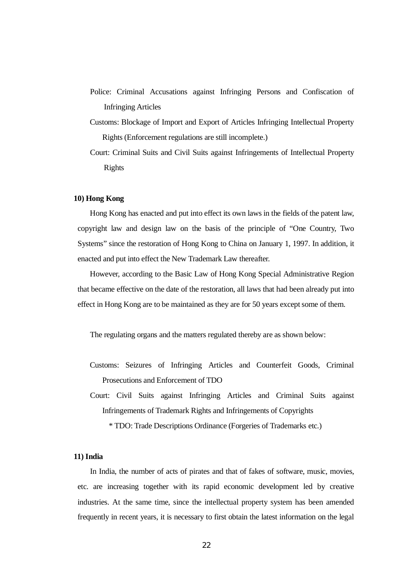- Police: Criminal Accusations against Infringing Persons and Confiscation of Infringing Articles
- Customs: Blockage of Import and Export of Articles Infringing Intellectual Property Rights (Enforcement regulations are still incomplete.)
- Court: Criminal Suits and Civil Suits against Infringements of Intellectual Property Rights

#### **10) Hong Kong**

Hong Kong has enacted and put into effect its own laws in the fields of the patent law, copyright law and design law on the basis of the principle of "One Country, Two Systems" since the restoration of Hong Kong to China on January 1, 1997. In addition, it enacted and put into effect the New Trademark Law thereafter.

However, according to the Basic Law of Hong Kong Special Administrative Region that became effective on the date of the restoration, all laws that had been already put into effect in Hong Kong are to be maintained as they are for 50 years except some of them.

The regulating organs and the matters regulated thereby are as shown below:

- Customs: Seizures of Infringing Articles and Counterfeit Goods, Criminal Prosecutions and Enforcement of TDO
- Court: Civil Suits against Infringing Articles and Criminal Suits against Infringements of Trademark Rights and Infringements of Copyrights

\* TDO: Trade Descriptions Ordinance (Forgeries of Trademarks etc.)

#### **11) India**

In India, the number of acts of pirates and that of fakes of software, music, movies, etc. are increasing together with its rapid economic development led by creative industries. At the same time, since the intellectual property system has been amended frequently in recent years, it is necessary to first obtain the latest information on the legal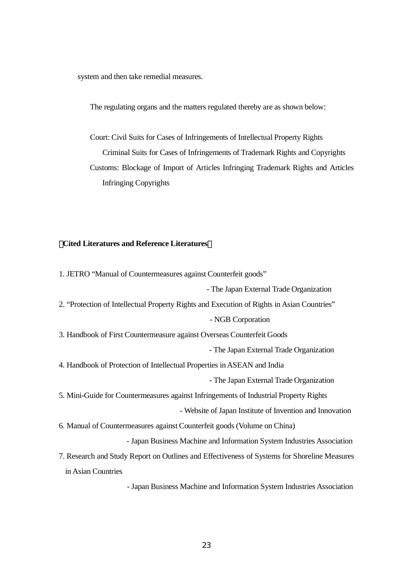system and then take remedial measures.

The regulating organs and the matters regulated thereby are as shown below:

Court: Civil Suits for Cases of Infringements of Intellectual Property Rights Criminal Suits for Cases of Infringements of Trademark Rights and Copyrights Customs: Blockage of Import of Articles Infringing Trademark Rights and Articles Infringing Copyrights

#### 【**Cited Literatures and Reference Literatures**】

1. JETRO "Manual of Countermeasures against Counterfeit goods" - The Japan External Trade Organization 2. "Protection of Intellectual Property Rights and Execution of Rights in Asian Countries" - NGB Corporation 3. Handbook of First Countermeasure against Overseas Counterfeit Goods - The Japan External Trade Organization 4. Handbook of Protection of Intellectual Properties in ASEAN and India - The Japan External Trade Organization 5. Mini-Guide for Countermeasures against Infringements of Industrial Property Rights - Website of Japan Institute of Invention and Innovation 6. Manual of Countermeasures against Counterfeit goods (Volume on China) - Japan Business Machine and Information System Industries Association 7. Research and Study Report on Outlines and Effectiveness of Systems for Shoreline Measures in Asian Countries - Japan Business Machine and Information System Industries Association